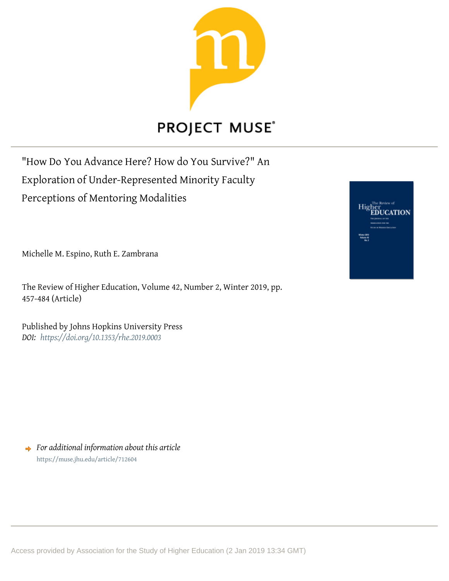

# **PROJECT MUSE®**

"How Do You Advance Here? How do You Survive?" An Exploration of Under-Represented Minority Faculty Perceptions of Mentoring Modalities

Michelle M. Espino, Ruth E. Zambrana

The Review of Higher Education, Volume 42, Number 2, Winter 2019, pp. 457-484 (Article)

Published by Johns Hopkins University Press *DOI: <https://doi.org/10.1353/rhe.2019.0003>*

*For additional information about this article* <https://muse.jhu.edu/article/712604>

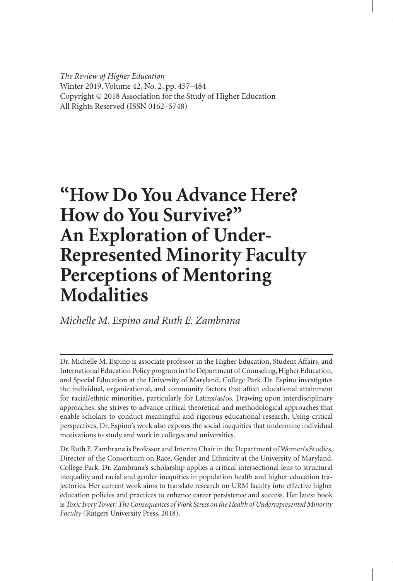*The Review of Higher Education* Winter 2019, Volume 42, No. 2, pp. 457–484 Copyright © 2018 Association for the Study of Higher Education All Rights Reserved (ISSN 0162–5748)

# **"How Do You Advance Here? How do You Survive?" An Exploration of Under-Represented Minority Faculty Perceptions of Mentoring Modalities**

*Michelle M. Espino and Ruth E. Zambrana*

Dr. Michelle M. Espino is associate professor in the Higher Education, Student Affairs, and International Education Policy program in the Department of Counseling, Higher Education, and Special Education at the University of Maryland, College Park. Dr. Espino investigates the individual, organizational, and community factors that affect educational attainment for racial/ethnic minorities, particularly for Latinx/as/os. Drawing upon interdisciplinary approaches, she strives to advance critical theoretical and methodological approaches that enable scholars to conduct meaningful and rigorous educational research. Using critical perspectives, Dr. Espino's work also exposes the social inequities that undermine individual motivations to study and work in colleges and universities.

Dr. Ruth E. Zambrana is Professor and Interim Chair in the Department of Women's Studies, Director of the Consortium on Race, Gender and Ethnicity at the University of Maryland, College Park. Dr. Zambrana's scholarship applies a critical intersectional lens to structural inequality and racial and gender inequities in population health and higher education trajectories. Her current work aims to translate research on URM faculty into effective higher education policies and practices to enhance career persistence and success. Her latest book is *ToxicIvoryTower: The Consequences of Work Stress on the Health of Underrepresented Minority Faculty* (Rutgers University Press, 2018).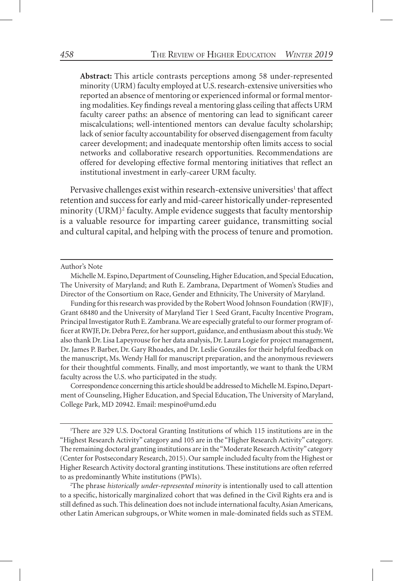**Abstract:** This article contrasts perceptions among 58 under-represented minority (URM) faculty employed at U.S. research-extensive universities who reported an absence of mentoring or experienced informal or formal mentoring modalities. Key findings reveal a mentoring glass ceiling that affects URM faculty career paths: an absence of mentoring can lead to significant career miscalculations; well-intentioned mentors can devalue faculty scholarship; lack of senior faculty accountability for observed disengagement from faculty career development; and inadequate mentorship often limits access to social networks and collaborative research opportunities. Recommendations are offered for developing effective formal mentoring initiatives that reflect an institutional investment in early-career URM faculty.

Pervasive challenges exist within research-extensive universities<sup>1</sup> that affect retention and success for early and mid-career historically under-represented minority (URM)<sup>2</sup> faculty. Ample evidence suggests that faculty mentorship is a valuable resource for imparting career guidance, transmitting social and cultural capital, and helping with the process of tenure and promotion.

#### Author's Note

Michelle M. Espino, Department of Counseling, Higher Education, and Special Education, The University of Maryland; and Ruth E. Zambrana, Department of Women's Studies and Director of the Consortium on Race, Gender and Ethnicity, The University of Maryland.

Funding for this research was provided by the Robert Wood Johnson Foundation (RWJF), Grant 68480 and the University of Maryland Tier 1 Seed Grant, Faculty Incentive Program, Principal Investigator Ruth E. Zambrana. We are especially grateful to our former program officer at RWJF, Dr. Debra Perez, for her support, guidance, and enthusiasm about this study. We also thank Dr. Lisa Lapeyrouse for her data analysis, Dr. Laura Logie for project management, Dr. James P. Barber, Dr. Gary Rhoades, and Dr. Leslie Gonzáles for their helpful feedback on the manuscript, Ms. Wendy Hall for manuscript preparation, and the anonymous reviewers for their thoughtful comments. Finally, and most importantly, we want to thank the URM faculty across the U.S. who participated in the study.

Correspondence concerning this article should be addressed to Michelle M. Espino, Department of Counseling, Higher Education, and Special Education, The University of Maryland, College Park, MD 20942. Email: mespino@umd.edu

<sup>1</sup>There are 329 U.S. Doctoral Granting Institutions of which 115 institutions are in the "Highest Research Activity" category and 105 are in the "Higher Research Activity" category. The remaining doctoral granting institutions are in the "Moderate Research Activity" category (Center for Postsecondary Research, 2015). Our sample included faculty from the Highest or Higher Research Activity doctoral granting institutions. These institutions are often referred to as predominantly White institutions (PWIs).

2 The phrase *historically under-represented minority* is intentionally used to call attention to a specific, historically marginalized cohort that was defined in the Civil Rights era and is still defined as such. This delineation does not include international faculty, Asian Americans, other Latin American subgroups, or White women in male-dominated fields such as STEM.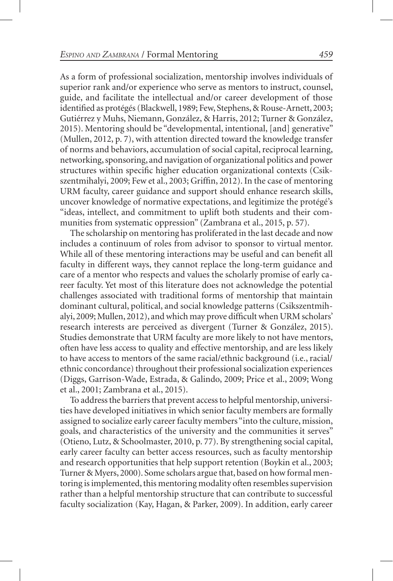As a form of professional socialization, mentorship involves individuals of superior rank and/or experience who serve as mentors to instruct, counsel, guide, and facilitate the intellectual and/or career development of those identified as protégés (Blackwell, 1989; Few, Stephens, & Rouse-Arnett, 2003; Gutiérrez y Muhs, Niemann, González, & Harris, 2012; Turner & González, 2015). Mentoring should be "developmental, intentional, [and] generative" (Mullen, 2012, p. 7), with attention directed toward the knowledge transfer of norms and behaviors, accumulation of social capital, reciprocal learning, networking, sponsoring, and navigation of organizational politics and power structures within specific higher education organizational contexts (Csikszentmihalyi, 2009; Few et al., 2003; Griffin, 2012). In the case of mentoring URM faculty, career guidance and support should enhance research skills, uncover knowledge of normative expectations, and legitimize the protégé's "ideas, intellect, and commitment to uplift both students and their communities from systematic oppression" (Zambrana et al., 2015, p. 57).

The scholarship on mentoring has proliferated in the last decade and now includes a continuum of roles from advisor to sponsor to virtual mentor. While all of these mentoring interactions may be useful and can benefit all faculty in different ways, they cannot replace the long-term guidance and care of a mentor who respects and values the scholarly promise of early career faculty. Yet most of this literature does not acknowledge the potential challenges associated with traditional forms of mentorship that maintain dominant cultural, political, and social knowledge patterns (Csikszentmihalyi, 2009; Mullen, 2012), and which may prove difficult when URM scholars' research interests are perceived as divergent (Turner & González, 2015). Studies demonstrate that URM faculty are more likely to not have mentors, often have less access to quality and effective mentorship, and are less likely to have access to mentors of the same racial/ethnic background (i.e., racial/ ethnic concordance) throughout their professional socialization experiences (Diggs, Garrison-Wade, Estrada, & Galindo, 2009; Price et al., 2009; Wong et al., 2001; Zambrana et al., 2015).

To address the barriers that prevent access to helpful mentorship, universities have developed initiatives in which senior faculty members are formally assigned to socialize early career faculty members "into the culture, mission, goals, and characteristics of the university and the communities it serves" (Otieno, Lutz, & Schoolmaster, 2010, p. 77). By strengthening social capital, early career faculty can better access resources, such as faculty mentorship and research opportunities that help support retention (Boykin et al., 2003; Turner & Myers, 2000). Some scholars argue that, based on how formal mentoring is implemented, this mentoring modality often resembles supervision rather than a helpful mentorship structure that can contribute to successful faculty socialization (Kay, Hagan, & Parker, 2009). In addition, early career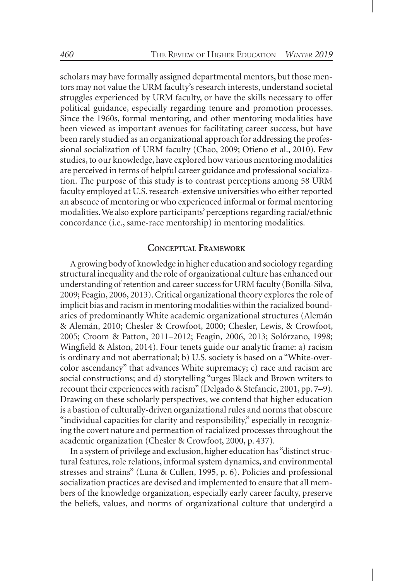scholars may have formally assigned departmental mentors, but those mentors may not value the URM faculty's research interests, understand societal struggles experienced by URM faculty, or have the skills necessary to offer political guidance, especially regarding tenure and promotion processes. Since the 1960s, formal mentoring, and other mentoring modalities have been viewed as important avenues for facilitating career success, but have been rarely studied as an organizational approach for addressing the professional socialization of URM faculty (Chao, 2009; Otieno et al., 2010). Few studies, to our knowledge, have explored how various mentoring modalities are perceived in terms of helpful career guidance and professional socialization. The purpose of this study is to contrast perceptions among 58 URM faculty employed at U.S. research-extensive universities who either reported an absence of mentoring or who experienced informal or formal mentoring modalities. We also explore participants' perceptions regarding racial/ethnic concordance (i.e., same-race mentorship) in mentoring modalities.

#### **Conceptual Framework**

A growing body of knowledge in higher education and sociology regarding structural inequality and the role of organizational culture has enhanced our understanding of retention and career success for URM faculty (Bonilla-Silva, 2009; Feagin, 2006, 2013). Critical organizational theory explores the role of implicit bias and racism in mentoring modalities within the racialized boundaries of predominantly White academic organizational structures (Alemán & Alemán, 2010; Chesler & Crowfoot, 2000; Chesler, Lewis, & Crowfoot, 2005; Croom & Patton, 2011–2012; Feagin, 2006, 2013; Solórzano, 1998; Wingfield & Alston, 2014). Four tenets guide our analytic frame: a) racism is ordinary and not aberrational; b) U.S. society is based on a "White-overcolor ascendancy" that advances White supremacy; c) race and racism are social constructions; and d) storytelling "urges Black and Brown writers to recount their experiences with racism" (Delgado & Stefancic, 2001, pp. 7–9). Drawing on these scholarly perspectives, we contend that higher education is a bastion of culturally-driven organizational rules and norms that obscure "individual capacities for clarity and responsibility," especially in recognizing the covert nature and permeation of racialized processes throughout the academic organization (Chesler & Crowfoot, 2000, p. 437).

In a system of privilege and exclusion, higher education has "distinct structural features, role relations, informal system dynamics, and environmental stresses and strains" (Luna & Cullen, 1995, p. 6). Policies and professional socialization practices are devised and implemented to ensure that all members of the knowledge organization, especially early career faculty, preserve the beliefs, values, and norms of organizational culture that undergird a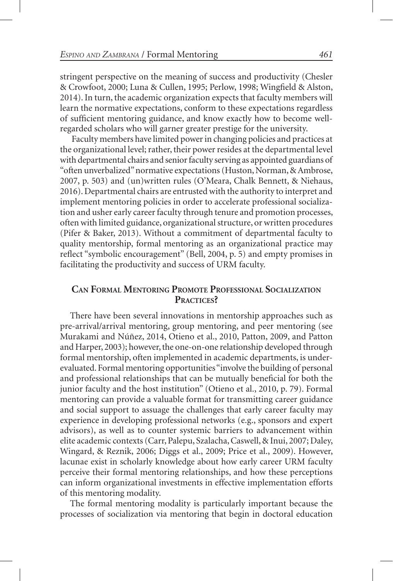stringent perspective on the meaning of success and productivity (Chesler & Crowfoot, 2000; Luna & Cullen, 1995; Perlow, 1998; Wingfield & Alston, 2014). In turn, the academic organization expects that faculty members will learn the normative expectations, conform to these expectations regardless of sufficient mentoring guidance, and know exactly how to become wellregarded scholars who will garner greater prestige for the university.

 Faculty members have limited power in changing policies and practices at the organizational level; rather, their power resides at the departmental level with departmental chairs and senior faculty serving as appointed guardians of "often unverbalized" normative expectations (Huston, Norman, & Ambrose, 2007, p. 503) and (un)written rules (O'Meara, Chalk Bennett, & Niehaus, 2016). Departmental chairs are entrusted with the authority to interpret and implement mentoring policies in order to accelerate professional socialization and usher early career faculty through tenure and promotion processes, often with limited guidance, organizational structure, or written procedures (Pifer & Baker, 2013). Without a commitment of departmental faculty to quality mentorship, formal mentoring as an organizational practice may reflect "symbolic encouragement" (Bell, 2004, p. 5) and empty promises in facilitating the productivity and success of URM faculty.

#### **Can Formal Mentoring Promote Professional Socialization Practices?**

There have been several innovations in mentorship approaches such as pre-arrival/arrival mentoring, group mentoring, and peer mentoring (see Murakami and Núñez, 2014, Otieno et al., 2010, Patton, 2009, and Patton and Harper, 2003); however, the one-on-one relationship developed through formal mentorship, often implemented in academic departments, is underevaluated. Formal mentoring opportunities "involve the building of personal and professional relationships that can be mutually beneficial for both the junior faculty and the host institution" (Otieno et al., 2010, p. 79). Formal mentoring can provide a valuable format for transmitting career guidance and social support to assuage the challenges that early career faculty may experience in developing professional networks (e.g., sponsors and expert advisors), as well as to counter systemic barriers to advancement within elite academic contexts (Carr, Palepu, Szalacha, Caswell, & Inui, 2007; Daley, Wingard, & Reznik, 2006; Diggs et al., 2009; Price et al., 2009). However, lacunae exist in scholarly knowledge about how early career URM faculty perceive their formal mentoring relationships, and how these perceptions can inform organizational investments in effective implementation efforts of this mentoring modality.

The formal mentoring modality is particularly important because the processes of socialization via mentoring that begin in doctoral education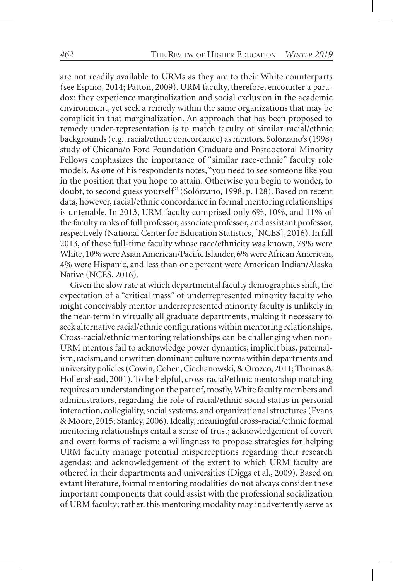are not readily available to URMs as they are to their White counterparts (see Espino, 2014; Patton, 2009). URM faculty, therefore, encounter a paradox: they experience marginalization and social exclusion in the academic environment, yet seek a remedy within the same organizations that may be complicit in that marginalization. An approach that has been proposed to remedy under-representation is to match faculty of similar racial/ethnic backgrounds (e.g., racial/ethnic concordance) as mentors. Solórzano's (1998) study of Chicana/o Ford Foundation Graduate and Postdoctoral Minority Fellows emphasizes the importance of "similar race-ethnic" faculty role models. As one of his respondents notes, "you need to see someone like you in the position that you hope to attain. Otherwise you begin to wonder, to doubt, to second guess yourself" (Solórzano, 1998, p. 128). Based on recent data, however, racial/ethnic concordance in formal mentoring relationships is untenable. In 2013, URM faculty comprised only 6%, 10%, and 11% of the faculty ranks of full professor, associate professor, and assistant professor, respectively (National Center for Education Statistics, [NCES], 2016). In fall 2013, of those full-time faculty whose race/ethnicity was known, 78% were White, 10% were Asian American/Pacific Islander, 6% were African American, 4% were Hispanic, and less than one percent were American Indian/Alaska Native (NCES, 2016).

Given the slow rate at which departmental faculty demographics shift, the expectation of a "critical mass" of underrepresented minority faculty who might conceivably mentor underrepresented minority faculty is unlikely in the near-term in virtually all graduate departments, making it necessary to seek alternative racial/ethnic configurations within mentoring relationships. Cross-racial/ethnic mentoring relationships can be challenging when non-URM mentors fail to acknowledge power dynamics, implicit bias, paternalism, racism, and unwritten dominant culture norms within departments and university policies (Cowin, Cohen, Ciechanowski, & Orozco, 2011; Thomas & Hollenshead, 2001). To be helpful, cross-racial/ethnic mentorship matching requires an understanding on the part of, mostly, White faculty members and administrators, regarding the role of racial/ethnic social status in personal interaction, collegiality, social systems, and organizational structures (Evans & Moore, 2015; Stanley, 2006). Ideally, meaningful cross-racial/ethnic formal mentoring relationships entail a sense of trust; acknowledgement of covert and overt forms of racism; a willingness to propose strategies for helping URM faculty manage potential misperceptions regarding their research agendas; and acknowledgement of the extent to which URM faculty are othered in their departments and universities (Diggs et al., 2009). Based on extant literature, formal mentoring modalities do not always consider these important components that could assist with the professional socialization of URM faculty; rather, this mentoring modality may inadvertently serve as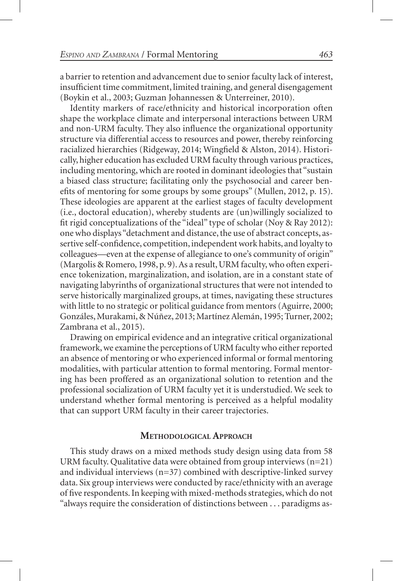a barrier to retention and advancement due to senior faculty lack of interest, insufficient time commitment, limited training, and general disengagement (Boykin et al., 2003; Guzman Johannessen & Unterreiner, 2010).

Identity markers of race/ethnicity and historical incorporation often shape the workplace climate and interpersonal interactions between URM and non-URM faculty. They also influence the organizational opportunity structure via differential access to resources and power, thereby reinforcing racialized hierarchies (Ridgeway, 2014; Wingfield & Alston, 2014). Historically, higher education has excluded URM faculty through various practices, including mentoring, which are rooted in dominant ideologies that "sustain a biased class structure; facilitating only the psychosocial and career benefits of mentoring for some groups by some groups" (Mullen, 2012, p. 15). These ideologies are apparent at the earliest stages of faculty development (i.e., doctoral education), whereby students are (un)willingly socialized to fit rigid conceptualizations of the "ideal" type of scholar (Noy & Ray 2012): one who displays "detachment and distance, the use of abstract concepts, assertive self-confidence, competition, independent work habits, and loyalty to colleagues—even at the expense of allegiance to one's community of origin" (Margolis & Romero, 1998, p. 9). As a result, URM faculty, who often experience tokenization, marginalization, and isolation, are in a constant state of navigating labyrinths of organizational structures that were not intended to serve historically marginalized groups, at times, navigating these structures with little to no strategic or political guidance from mentors (Aguirre, 2000; Gonzáles, Murakami, & Núñez, 2013; Martínez Alemán, 1995; Turner, 2002; Zambrana et al., 2015).

Drawing on empirical evidence and an integrative critical organizational framework, we examine the perceptions of URM faculty who either reported an absence of mentoring or who experienced informal or formal mentoring modalities, with particular attention to formal mentoring. Formal mentoring has been proffered as an organizational solution to retention and the professional socialization of URM faculty yet it is understudied. We seek to understand whether formal mentoring is perceived as a helpful modality that can support URM faculty in their career trajectories.

#### **Methodological Approach**

This study draws on a mixed methods study design using data from 58 URM faculty. Qualitative data were obtained from group interviews  $(n=21)$ and individual interviews  $(n=37)$  combined with descriptive-linked survey data. Six group interviews were conducted by race/ethnicity with an average of five respondents. In keeping with mixed-methods strategies, which do not "always require the consideration of distinctions between . . . paradigms as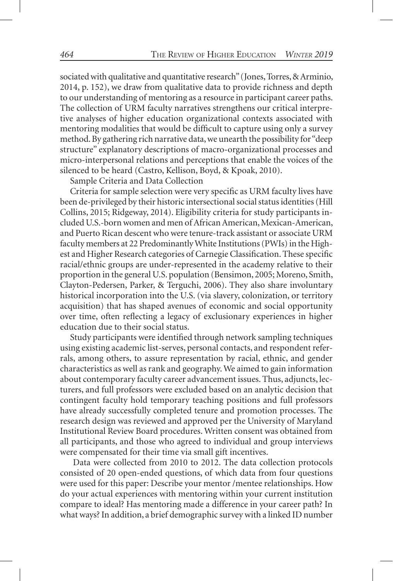sociated with qualitative and quantitative research" (Jones, Torres, & Arminio, 2014, p. 152), we draw from qualitative data to provide richness and depth to our understanding of mentoring as a resource in participant career paths. The collection of URM faculty narratives strengthens our critical interpretive analyses of higher education organizational contexts associated with mentoring modalities that would be difficult to capture using only a survey method. By gathering rich narrative data, we unearth the possibility for "deep structure" explanatory descriptions of macro-organizational processes and micro-interpersonal relations and perceptions that enable the voices of the silenced to be heard (Castro, Kellison, Boyd, & Kpoak, 2010).

Sample Criteria and Data Collection

Criteria for sample selection were very specific as URM faculty lives have been de-privileged by their historic intersectional social status identities (Hill Collins, 2015; Ridgeway, 2014). Eligibility criteria for study participants included U.S.-born women and men of African American, Mexican-American, and Puerto Rican descent who were tenure-track assistant or associate URM faculty members at 22 Predominantly White Institutions (PWIs) in the Highest and Higher Research categories of Carnegie Classification. These specific racial/ethnic groups are under-represented in the academy relative to their proportion in the general U.S. population (Bensimon, 2005; Moreno, Smith, Clayton-Pedersen, Parker, & Terguchi, 2006). They also share involuntary historical incorporation into the U.S. (via slavery, colonization, or territory acquisition) that has shaped avenues of economic and social opportunity over time, often reflecting a legacy of exclusionary experiences in higher education due to their social status.

Study participants were identified through network sampling techniques using existing academic list-serves, personal contacts, and respondent referrals, among others, to assure representation by racial, ethnic, and gender characteristics as well as rank and geography. We aimed to gain information about contemporary faculty career advancement issues. Thus, adjuncts, lecturers, and full professors were excluded based on an analytic decision that contingent faculty hold temporary teaching positions and full professors have already successfully completed tenure and promotion processes. The research design was reviewed and approved per the University of Maryland Institutional Review Board procedures. Written consent was obtained from all participants, and those who agreed to individual and group interviews were compensated for their time via small gift incentives.

 Data were collected from 2010 to 2012. The data collection protocols consisted of 20 open-ended questions, of which data from four questions were used for this paper: Describe your mentor /mentee relationships. How do your actual experiences with mentoring within your current institution compare to ideal? Has mentoring made a difference in your career path? In what ways? In addition, a brief demographic survey with a linked ID number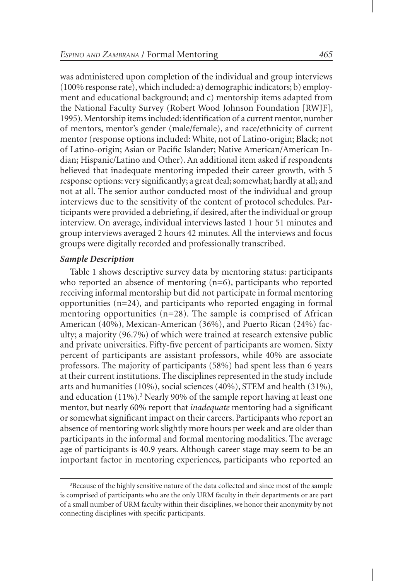was administered upon completion of the individual and group interviews (100% response rate), which included: a) demographic indicators; b) employment and educational background; and c) mentorship items adapted from the National Faculty Survey (Robert Wood Johnson Foundation [RWJF], 1995). Mentorship items included: identification of a current mentor, number of mentors, mentor's gender (male/female), and race/ethnicity of current mentor (response options included: White, not of Latino-origin; Black; not of Latino-origin; Asian or Pacific Islander; Native American/American Indian; Hispanic/Latino and Other). An additional item asked if respondents believed that inadequate mentoring impeded their career growth, with 5 response options: very significantly; a great deal; somewhat; hardly at all; and not at all. The senior author conducted most of the individual and group interviews due to the sensitivity of the content of protocol schedules. Participants were provided a debriefing, if desired, after the individual or group interview. On average, individual interviews lasted 1 hour 51 minutes and group interviews averaged 2 hours 42 minutes. All the interviews and focus groups were digitally recorded and professionally transcribed.

#### *Sample Description*

Table 1 shows descriptive survey data by mentoring status: participants who reported an absence of mentoring  $(n=6)$ , participants who reported receiving informal mentorship but did not participate in formal mentoring opportunities (n=24), and participants who reported engaging in formal mentoring opportunities  $(n=28)$ . The sample is comprised of African American (40%), Mexican-American (36%), and Puerto Rican (24%) faculty; a majority (96.7%) of which were trained at research extensive public and private universities. Fifty-five percent of participants are women. Sixty percent of participants are assistant professors, while 40% are associate professors. The majority of participants (58%) had spent less than 6 years at their current institutions. The disciplines represented in the study include arts and humanities (10%), social sciences (40%), STEM and health (31%), and education (11%).<sup>3</sup> Nearly 90% of the sample report having at least one mentor, but nearly 60% report that *inadequate* mentoring had a significant or somewhat significant impact on their careers. Participants who report an absence of mentoring work slightly more hours per week and are older than participants in the informal and formal mentoring modalities. The average age of participants is 40.9 years. Although career stage may seem to be an important factor in mentoring experiences, participants who reported an

<sup>3</sup> Because of the highly sensitive nature of the data collected and since most of the sample is comprised of participants who are the only URM faculty in their departments or are part of a small number of URM faculty within their disciplines, we honor their anonymity by not connecting disciplines with specific participants.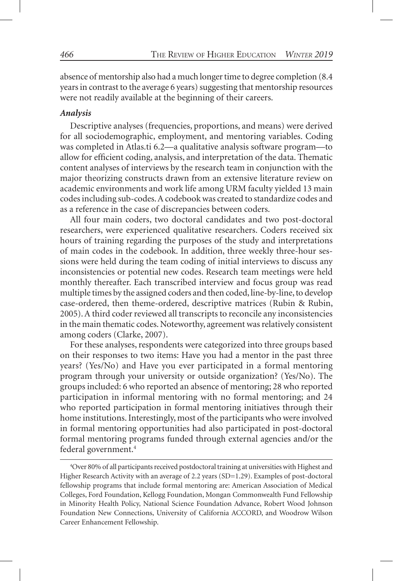absence of mentorship also had a much longer time to degree completion (8.4 years in contrast to the average 6 years) suggesting that mentorship resources were not readily available at the beginning of their careers.

#### *Analysis*

Descriptive analyses (frequencies, proportions, and means) were derived for all sociodemographic, employment, and mentoring variables. Coding was completed in Atlas.ti 6.2—a qualitative analysis software program—to allow for efficient coding, analysis, and interpretation of the data. Thematic content analyses of interviews by the research team in conjunction with the major theorizing constructs drawn from an extensive literature review on academic environments and work life among URM faculty yielded 13 main codes including sub-codes. A codebook was created to standardize codes and as a reference in the case of discrepancies between coders.

All four main coders, two doctoral candidates and two post-doctoral researchers, were experienced qualitative researchers. Coders received six hours of training regarding the purposes of the study and interpretations of main codes in the codebook. In addition, three weekly three-hour sessions were held during the team coding of initial interviews to discuss any inconsistencies or potential new codes. Research team meetings were held monthly thereafter. Each transcribed interview and focus group was read multiple times by the assigned coders and then coded, line-by-line, to develop case-ordered, then theme-ordered, descriptive matrices (Rubin & Rubin, 2005). A third coder reviewed all transcripts to reconcile any inconsistencies in the main thematic codes. Noteworthy, agreement was relatively consistent among coders (Clarke, 2007).

For these analyses, respondents were categorized into three groups based on their responses to two items: Have you had a mentor in the past three years? (Yes/No) and Have you ever participated in a formal mentoring program through your university or outside organization? (Yes/No). The groups included: 6 who reported an absence of mentoring; 28 who reported participation in informal mentoring with no formal mentoring; and 24 who reported participation in formal mentoring initiatives through their home institutions. Interestingly, most of the participants who were involved in formal mentoring opportunities had also participated in post-doctoral formal mentoring programs funded through external agencies and/or the federal government.4

<sup>4</sup> Over 80% of all participants received postdoctoral training at universities with Highest and Higher Research Activity with an average of 2.2 years (SD=1.29). Examples of post-doctoral fellowship programs that include formal mentoring are: American Association of Medical Colleges, Ford Foundation, Kellogg Foundation, Mongan Commonwealth Fund Fellowship in Minority Health Policy, National Science Foundation Advance, Robert Wood Johnson Foundation New Connections, University of California ACCORD, and Woodrow Wilson Career Enhancement Fellowship.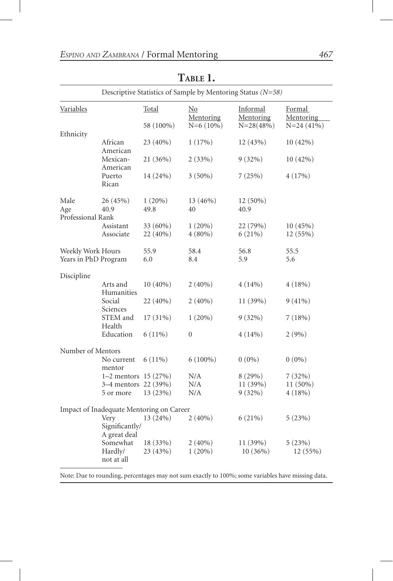| Descriptive Statistics of Sample by Mentoring Status (N=58) |                                          |                      |                        |                       |                     |  |  |  |
|-------------------------------------------------------------|------------------------------------------|----------------------|------------------------|-----------------------|---------------------|--|--|--|
| Variables                                                   |                                          | Total                | No<br>Mentoring        | Informal<br>Mentoring | Formal<br>Mentoring |  |  |  |
|                                                             |                                          | 58 (100%)            | $N=6(10\%)$            | $N = 28(48%)$         | $N=24(41\%)$        |  |  |  |
| Ethnicity                                                   | African                                  | 23 (40%)             | 1(17%)                 | 12 (43%)              | 10 (42%)            |  |  |  |
|                                                             | American<br>Mexican-                     | 21 (36%)             | 2(33%)                 | $9(32\%)$             | $10(42\%)$          |  |  |  |
|                                                             | American<br>Puerto<br>Rican              | 14 (24%)             | $3(50\%)$              | 7(25%)                | 4(17%)              |  |  |  |
| Male<br>Age                                                 | 26 (45%)<br>40.9                         | $1(20\%)$<br>49.8    | 13 (46%)<br>40         | $12(50\%)$<br>40.9    |                     |  |  |  |
| Professional Rank                                           | Assistant<br>Associate                   | 33 (60%)<br>22 (40%) | $1(20\%)$<br>$4(80\%)$ | 22 (79%)<br>6(21%)    | 10(45%)<br>12 (55%) |  |  |  |
| Weekly Work Hours<br>Years in PhD Program                   |                                          | 55.9<br>6.0          | 58.4<br>8.4            | 56.8<br>5.9           | 55.5<br>5.6         |  |  |  |
| Discipline                                                  |                                          |                      |                        |                       |                     |  |  |  |
|                                                             | Arts and<br>Humanities                   | $10(40\%)$           | $2(40\%)$              | 4(14%)                | 4(18%)              |  |  |  |
|                                                             | Social<br>Sciences                       | 22 (40%)             | $2(40\%)$              | 11 (39%)              | $9(41\%)$           |  |  |  |
|                                                             | STEM and<br>Health                       | $17(31\%)$           | 1(20%)                 | $9(32\%)$             | 7(18%)              |  |  |  |
|                                                             | Education                                | $6(11\%)$            | $\mathbf{0}$           | 4(14%)                | 2(9%)               |  |  |  |
| Number of Mentors                                           |                                          |                      |                        |                       |                     |  |  |  |
|                                                             | No current<br>mentor                     | $6(11\%)$            | $6(100\%)$             | $0(0\%)$              | $0(0\%)$            |  |  |  |
|                                                             | $1-2$ mentors $15(27%)$                  |                      | N/A                    | 8(29%)                | 7(32%)              |  |  |  |
|                                                             | 3–4 mentors 22 (39%)                     |                      | N/A                    | 11 (39%)              | 11 (50%)            |  |  |  |
|                                                             | 5 or more                                | 13 (23%)             | N/A                    | 9(32%)                | 4(18%)              |  |  |  |
|                                                             | Impact of Inadequate Mentoring on Career |                      |                        |                       |                     |  |  |  |
|                                                             | Very<br>Significantly/<br>A great deal   | 13 (24%)             | $2(40\%)$              | 6(21%)                | 5(23%)              |  |  |  |
|                                                             | Somewhat                                 | 18 (33%)             | $2(40\%)$              | 11 (39%)              | 5(23%)              |  |  |  |
|                                                             | Hardly/<br>not at all                    | 23 (43%)             | $1(20\%)$              | $10(36\%)$            | 12(55%)             |  |  |  |

**Table 1.**

Note: Due to rounding, percentages may not sum exactly to 100%; some variables have missing data.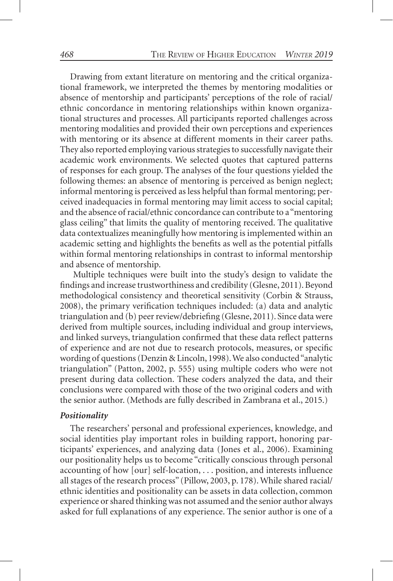Drawing from extant literature on mentoring and the critical organizational framework, we interpreted the themes by mentoring modalities or absence of mentorship and participants' perceptions of the role of racial/ ethnic concordance in mentoring relationships within known organizational structures and processes. All participants reported challenges across mentoring modalities and provided their own perceptions and experiences with mentoring or its absence at different moments in their career paths. They also reported employing various strategies to successfully navigate their academic work environments. We selected quotes that captured patterns of responses for each group. The analyses of the four questions yielded the following themes: an absence of mentoring is perceived as benign neglect; informal mentoring is perceived as less helpful than formal mentoring; perceived inadequacies in formal mentoring may limit access to social capital; and the absence of racial/ethnic concordance can contribute to a "mentoring glass ceiling" that limits the quality of mentoring received. The qualitative data contextualizes meaningfully how mentoring is implemented within an academic setting and highlights the benefits as well as the potential pitfalls within formal mentoring relationships in contrast to informal mentorship and absence of mentorship.

 Multiple techniques were built into the study's design to validate the findings and increase trustworthiness and credibility (Glesne, 2011). Beyond methodological consistency and theoretical sensitivity (Corbin & Strauss, 2008), the primary verification techniques included: (a) data and analytic triangulation and (b) peer review/debriefing (Glesne, 2011). Since data were derived from multiple sources, including individual and group interviews, and linked surveys, triangulation confirmed that these data reflect patterns of experience and are not due to research protocols, measures, or specific wording of questions (Denzin & Lincoln, 1998). We also conducted "analytic triangulation" (Patton, 2002, p. 555) using multiple coders who were not present during data collection. These coders analyzed the data, and their conclusions were compared with those of the two original coders and with the senior author. (Methods are fully described in Zambrana et al., 2015.)

#### *Positionality*

The researchers' personal and professional experiences, knowledge, and social identities play important roles in building rapport, honoring participants' experiences, and analyzing data (Jones et al., 2006). Examining our positionality helps us to become "critically conscious through personal accounting of how [our] self-location, . . . position, and interests influence all stages of the research process" (Pillow, 2003, p. 178). While shared racial/ ethnic identities and positionality can be assets in data collection, common experience or shared thinking was not assumed and the senior author always asked for full explanations of any experience. The senior author is one of a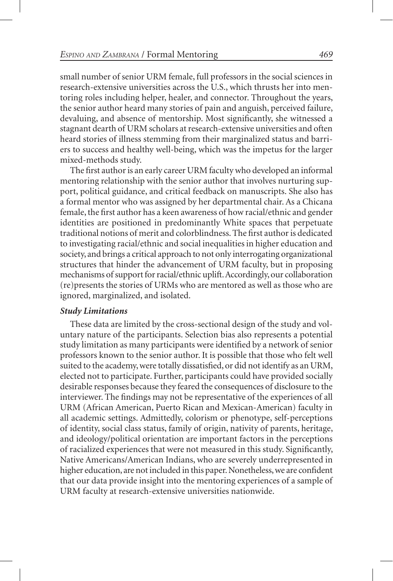small number of senior URM female, full professors in the social sciences in research-extensive universities across the U.S., which thrusts her into mentoring roles including helper, healer, and connector. Throughout the years, the senior author heard many stories of pain and anguish, perceived failure, devaluing, and absence of mentorship. Most significantly, she witnessed a stagnant dearth of URM scholars at research-extensive universities and often heard stories of illness stemming from their marginalized status and barriers to success and healthy well-being, which was the impetus for the larger mixed-methods study.

The first author is an early career URM faculty who developed an informal mentoring relationship with the senior author that involves nurturing support, political guidance, and critical feedback on manuscripts. She also has a formal mentor who was assigned by her departmental chair. As a Chicana female, the first author has a keen awareness of how racial/ethnic and gender identities are positioned in predominantly White spaces that perpetuate traditional notions of merit and colorblindness. The first author is dedicated to investigating racial/ethnic and social inequalities in higher education and society, and brings a critical approach to not only interrogating organizational structures that hinder the advancement of URM faculty, but in proposing mechanisms of support for racial/ethnic uplift. Accordingly, our collaboration (re)presents the stories of URMs who are mentored as well as those who are ignored, marginalized, and isolated.

#### *Study Limitations*

These data are limited by the cross-sectional design of the study and voluntary nature of the participants. Selection bias also represents a potential study limitation as many participants were identified by a network of senior professors known to the senior author. It is possible that those who felt well suited to the academy, were totally dissatisfied, or did not identify as an URM, elected not to participate. Further, participants could have provided socially desirable responses because they feared the consequences of disclosure to the interviewer. The findings may not be representative of the experiences of all URM (African American, Puerto Rican and Mexican-American) faculty in all academic settings. Admittedly, colorism or phenotype, self-perceptions of identity, social class status, family of origin, nativity of parents, heritage, and ideology/political orientation are important factors in the perceptions of racialized experiences that were not measured in this study. Significantly, Native Americans/American Indians, who are severely underrepresented in higher education, are not included in this paper. Nonetheless, we are confident that our data provide insight into the mentoring experiences of a sample of URM faculty at research-extensive universities nationwide.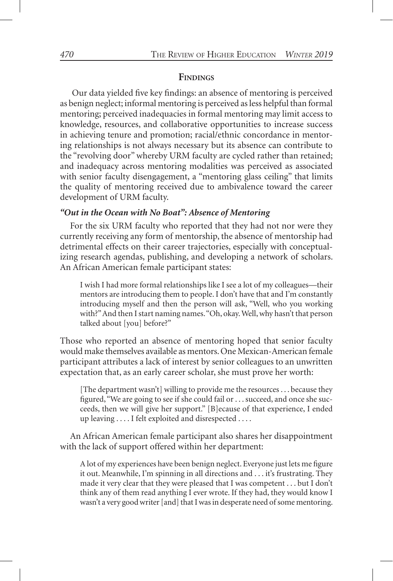#### **Findings**

 Our data yielded five key findings: an absence of mentoring is perceived as benign neglect; informal mentoring is perceived as less helpful than formal mentoring; perceived inadequacies in formal mentoring may limit access to knowledge, resources, and collaborative opportunities to increase success in achieving tenure and promotion; racial/ethnic concordance in mentoring relationships is not always necessary but its absence can contribute to the "revolving door" whereby URM faculty are cycled rather than retained; and inadequacy across mentoring modalities was perceived as associated with senior faculty disengagement, a "mentoring glass ceiling" that limits the quality of mentoring received due to ambivalence toward the career development of URM faculty.

#### *"Out in the Ocean with No Boat": Absence of Mentoring*

For the six URM faculty who reported that they had not nor were they currently receiving any form of mentorship, the absence of mentorship had detrimental effects on their career trajectories, especially with conceptualizing research agendas, publishing, and developing a network of scholars. An African American female participant states:

I wish I had more formal relationships like I see a lot of my colleagues—their mentors are introducing them to people. I don't have that and I'm constantly introducing myself and then the person will ask, "Well, who you working with?" And then I start naming names. "Oh, okay. Well, why hasn't that person talked about [you] before?"

Those who reported an absence of mentoring hoped that senior faculty would make themselves available as mentors. One Mexican-American female participant attributes a lack of interest by senior colleagues to an unwritten expectation that, as an early career scholar, she must prove her worth:

[The department wasn't] willing to provide me the resources . . . because they figured, "We are going to see if she could fail or . . . succeed, and once she succeeds, then we will give her support." [B]ecause of that experience, I ended up leaving . . . . I felt exploited and disrespected . . . .

An African American female participant also shares her disappointment with the lack of support offered within her department:

A lot of my experiences have been benign neglect. Everyone just lets me figure it out. Meanwhile, I'm spinning in all directions and . . . it's frustrating. They made it very clear that they were pleased that I was competent . . . but I don't think any of them read anything I ever wrote. If they had, they would know I wasn't a very good writer [and] that I was in desperate need of some mentoring.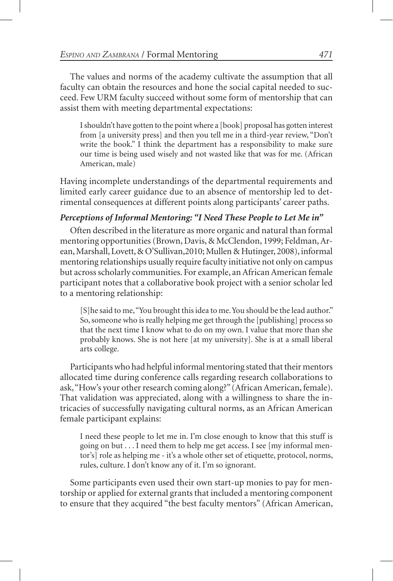The values and norms of the academy cultivate the assumption that all faculty can obtain the resources and hone the social capital needed to succeed. Few URM faculty succeed without some form of mentorship that can assist them with meeting departmental expectations:

I shouldn't have gotten to the point where a [book] proposal has gotten interest from [a university press] and then you tell me in a third-year review, "Don't write the book." I think the department has a responsibility to make sure our time is being used wisely and not wasted like that was for me. (African American, male)

Having incomplete understandings of the departmental requirements and limited early career guidance due to an absence of mentorship led to detrimental consequences at different points along participants' career paths.

### *Perceptions of Informal Mentoring: "I Need These People to Let Me in"*

Often described in the literature as more organic and natural than formal mentoring opportunities (Brown, Davis, & McClendon, 1999; Feldman, Arean, Marshall, Lovett, & O'Sullivan,2010; Mullen & Hutinger, 2008), informal mentoring relationships usually require faculty initiative not only on campus but across scholarly communities. For example, an African American female participant notes that a collaborative book project with a senior scholar led to a mentoring relationship:

[S]he said to me, "You brought this idea to me. You should be the lead author." So, someone who is really helping me get through the [publishing] process so that the next time I know what to do on my own. I value that more than she probably knows. She is not here [at my university]. She is at a small liberal arts college.

Participants who had helpful informal mentoring stated that their mentors allocated time during conference calls regarding research collaborations to ask, "How's your other research coming along?" (African American, female). That validation was appreciated, along with a willingness to share the intricacies of successfully navigating cultural norms, as an African American female participant explains:

I need these people to let me in. I'm close enough to know that this stuff is going on but . . . I need them to help me get access. I see [my informal mentor's] role as helping me - it's a whole other set of etiquette, protocol, norms, rules, culture. I don't know any of it. I'm so ignorant.

Some participants even used their own start-up monies to pay for mentorship or applied for external grants that included a mentoring component to ensure that they acquired "the best faculty mentors" (African American,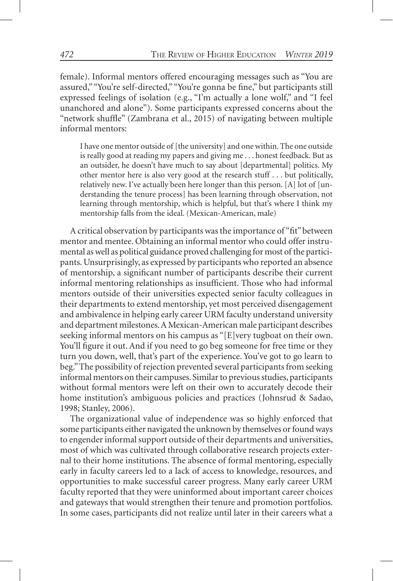female). Informal mentors offered encouraging messages such as "You are assured," "You're self-directed," "You're gonna be fine," but participants still expressed feelings of isolation (e.g., "I'm actually a lone wolf," and "I feel unanchored and alone"). Some participants expressed concerns about the "network shuffle" (Zambrana et al., 2015) of navigating between multiple informal mentors:

I have one mentor outside of [the university] and one within. The one outside is really good at reading my papers and giving me . . . honest feedback. But as an outsider, he doesn't have much to say about [departmental] politics. My other mentor here is also very good at the research stuff . . . but politically, relatively new. I've actually been here longer than this person. [A] lot of [understanding the tenure process] has been learning through observation, not learning through mentorship, which is helpful, but that's where I think my mentorship falls from the ideal. (Mexican-American, male)

A critical observation by participants was the importance of "fit" between mentor and mentee. Obtaining an informal mentor who could offer instrumental as well as political guidance proved challenging for most of the participants. Unsurprisingly, as expressed by participants who reported an absence of mentorship, a significant number of participants describe their current informal mentoring relationships as insufficient. Those who had informal mentors outside of their universities expected senior faculty colleagues in their departments to extend mentorship, yet most perceived disengagement and ambivalence in helping early career URM faculty understand university and department milestones. A Mexican-American male participant describes seeking informal mentors on his campus as "[E]very tugboat on their own. You'll figure it out. And if you need to go beg someone for free time or they turn you down, well, that's part of the experience. You've got to go learn to beg." The possibility of rejection prevented several participants from seeking informal mentors on their campuses. Similar to previous studies, participants without formal mentors were left on their own to accurately decode their home institution's ambiguous policies and practices (Johnsrud & Sadao, 1998; Stanley, 2006).

The organizational value of independence was so highly enforced that some participants either navigated the unknown by themselves or found ways to engender informal support outside of their departments and universities, most of which was cultivated through collaborative research projects external to their home institutions. The absence of formal mentoring, especially early in faculty careers led to a lack of access to knowledge, resources, and opportunities to make successful career progress. Many early career URM faculty reported that they were uninformed about important career choices and gateways that would strengthen their tenure and promotion portfolios. In some cases, participants did not realize until later in their careers what a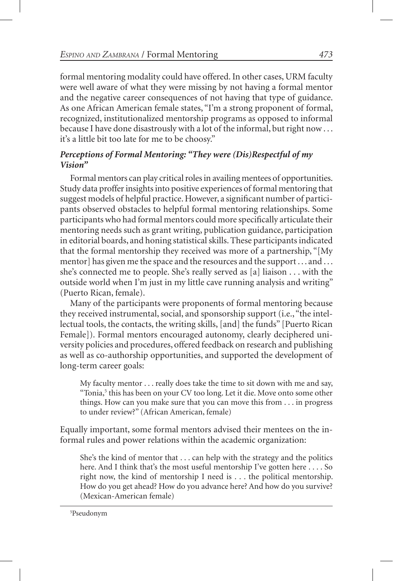formal mentoring modality could have offered. In other cases, URM faculty were well aware of what they were missing by not having a formal mentor and the negative career consequences of not having that type of guidance. As one African American female states, "I'm a strong proponent of formal, recognized, institutionalized mentorship programs as opposed to informal because I have done disastrously with a lot of the informal, but right now . . . it's a little bit too late for me to be choosy."

## *Perceptions of Formal Mentoring: "They were (Dis)Respectful of my Vision"*

Formal mentors can play critical roles in availing mentees of opportunities. Study data proffer insights into positive experiences of formal mentoring that suggest models of helpful practice. However, a significant number of participants observed obstacles to helpful formal mentoring relationships. Some participants who had formal mentors could more specifically articulate their mentoring needs such as grant writing, publication guidance, participation in editorial boards, and honing statistical skills. These participants indicated that the formal mentorship they received was more of a partnership, "[My mentor] has given me the space and the resources and the support . . . and . . . she's connected me to people. She's really served as [a] liaison . . . with the outside world when I'm just in my little cave running analysis and writing" (Puerto Rican, female).

Many of the participants were proponents of formal mentoring because they received instrumental, social, and sponsorship support (i.e., "the intellectual tools, the contacts, the writing skills, [and] the funds" [Puerto Rican Female]). Formal mentors encouraged autonomy, clearly deciphered university policies and procedures, offered feedback on research and publishing as well as co-authorship opportunities, and supported the development of long-term career goals:

My faculty mentor . . . really does take the time to sit down with me and say, "Tonia,<sup>5</sup> this has been on your CV too long. Let it die. Move onto some other things. How can you make sure that you can move this from . . . in progress to under review?" (African American, female)

Equally important, some formal mentors advised their mentees on the informal rules and power relations within the academic organization:

She's the kind of mentor that . . . can help with the strategy and the politics here. And I think that's the most useful mentorship I've gotten here . . . . So right now, the kind of mentorship I need is . . . the political mentorship. How do you get ahead? How do you advance here? And how do you survive? (Mexican-American female)

5 Pseudonym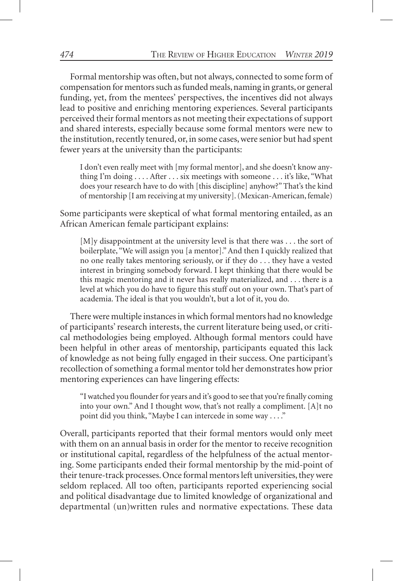Formal mentorship was often, but not always, connected to some form of compensation for mentors such as funded meals, naming in grants, or general funding, yet, from the mentees' perspectives, the incentives did not always lead to positive and enriching mentoring experiences. Several participants perceived their formal mentors as not meeting their expectations of support and shared interests, especially because some formal mentors were new to the institution, recently tenured, or, in some cases, were senior but had spent fewer years at the university than the participants:

I don't even really meet with [my formal mentor], and she doesn't know anything I'm doing . . . . After . . . six meetings with someone . . . it's like, "What does your research have to do with [this discipline] anyhow?" That's the kind of mentorship [I am receiving at my university]. (Mexican-American, female)

Some participants were skeptical of what formal mentoring entailed, as an African American female participant explains:

[M]y disappointment at the university level is that there was . . . the sort of boilerplate, "We will assign you [a mentor]." And then I quickly realized that no one really takes mentoring seriously, or if they do . . . they have a vested interest in bringing somebody forward. I kept thinking that there would be this magic mentoring and it never has really materialized, and . . . there is a level at which you do have to figure this stuff out on your own. That's part of academia. The ideal is that you wouldn't, but a lot of it, you do.

There were multiple instances in which formal mentors had no knowledge of participants' research interests, the current literature being used, or critical methodologies being employed. Although formal mentors could have been helpful in other areas of mentorship, participants equated this lack of knowledge as not being fully engaged in their success. One participant's recollection of something a formal mentor told her demonstrates how prior mentoring experiences can have lingering effects:

"I watched you flounder for years and it's good to see that you're finally coming into your own." And I thought wow, that's not really a compliment. [A]t no point did you think, "Maybe I can intercede in some way . . . ."

Overall, participants reported that their formal mentors would only meet with them on an annual basis in order for the mentor to receive recognition or institutional capital, regardless of the helpfulness of the actual mentoring. Some participants ended their formal mentorship by the mid-point of their tenure-track processes. Once formal mentors left universities, they were seldom replaced. All too often, participants reported experiencing social and political disadvantage due to limited knowledge of organizational and departmental (un)written rules and normative expectations. These data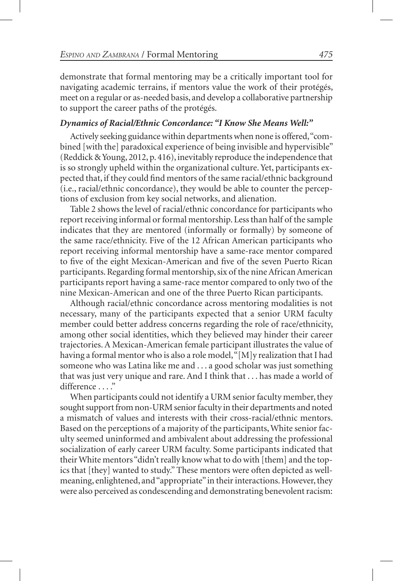demonstrate that formal mentoring may be a critically important tool for navigating academic terrains, if mentors value the work of their protégés, meet on a regular or as-needed basis, and develop a collaborative partnership to support the career paths of the protégés.

#### *Dynamics of Racial/Ethnic Concordance: "I Know She Means Well:"*

Actively seeking guidance within departments when none is offered, "combined [with the] paradoxical experience of being invisible and hypervisible" (Reddick & Young, 2012, p. 416), inevitably reproduce the independence that is so strongly upheld within the organizational culture. Yet, participants expected that, if they could find mentors of the same racial/ethnic background (i.e., racial/ethnic concordance), they would be able to counter the perceptions of exclusion from key social networks, and alienation.

Table 2 shows the level of racial/ethnic concordance for participants who report receiving informal or formal mentorship. Less than half of the sample indicates that they are mentored (informally or formally) by someone of the same race/ethnicity. Five of the 12 African American participants who report receiving informal mentorship have a same-race mentor compared to five of the eight Mexican-American and five of the seven Puerto Rican participants. Regarding formal mentorship, six of the nine African American participants report having a same-race mentor compared to only two of the nine Mexican-American and one of the three Puerto Rican participants.

Although racial/ethnic concordance across mentoring modalities is not necessary, many of the participants expected that a senior URM faculty member could better address concerns regarding the role of race/ethnicity, among other social identities, which they believed may hinder their career trajectories. A Mexican-American female participant illustrates the value of having a formal mentor who is also a role model, "[M]y realization that I had someone who was Latina like me and . . . a good scholar was just something that was just very unique and rare. And I think that . . . has made a world of difference ...."

When participants could not identify a URM senior faculty member, they sought support from non-URM senior faculty in their departments and noted a mismatch of values and interests with their cross-racial/ethnic mentors. Based on the perceptions of a majority of the participants, White senior faculty seemed uninformed and ambivalent about addressing the professional socialization of early career URM faculty. Some participants indicated that their White mentors "didn't really know what to do with [them] and the topics that [they] wanted to study." These mentors were often depicted as wellmeaning, enlightened, and "appropriate" in their interactions. However, they were also perceived as condescending and demonstrating benevolent racism: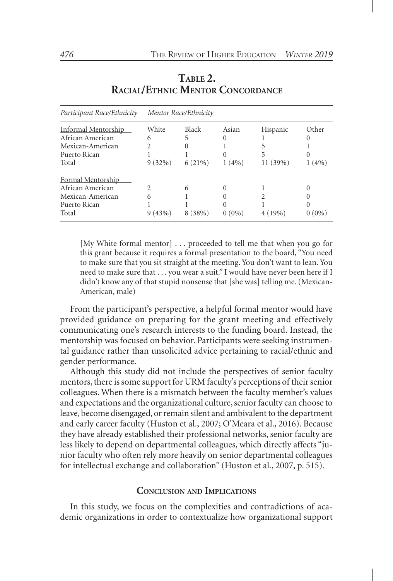| Participant Race/Ethnicity | Mentor Race/Ethnicity |              |          |          |          |  |  |
|----------------------------|-----------------------|--------------|----------|----------|----------|--|--|
| Informal Mentorship        | White                 | <b>Black</b> | Asian    | Hispanic | Other    |  |  |
| African American           | 6                     | 5            |          |          |          |  |  |
| Mexican-American           |                       |              |          |          |          |  |  |
| Puerto Rican               |                       |              |          | 5        |          |  |  |
| Total                      | 9(32%)                | 6(21%)       | $1(4\%)$ | 11 (39%) | $1(4\%)$ |  |  |
| Formal Mentorship          |                       |              |          |          |          |  |  |
| African American           | $\mathfrak{D}$        | 6            |          |          |          |  |  |
| Mexican-American           | 6                     |              |          |          |          |  |  |
| Puerto Rican               |                       |              |          |          |          |  |  |
| Total                      | 9(43%)                | 8(38%)       | $0(0\%)$ | 4(19%)   | $0(0\%)$ |  |  |

## **Table 2. Racial/Ethnic Mentor Concordance**

[My White formal mentor] . . . proceeded to tell me that when you go for this grant because it requires a formal presentation to the board, "You need to make sure that you sit straight at the meeting. You don't want to lean. You need to make sure that . . . you wear a suit." I would have never been here if I didn't know any of that stupid nonsense that [she was] telling me. (Mexican-American, male)

From the participant's perspective, a helpful formal mentor would have provided guidance on preparing for the grant meeting and effectively communicating one's research interests to the funding board. Instead, the mentorship was focused on behavior. Participants were seeking instrumental guidance rather than unsolicited advice pertaining to racial/ethnic and gender performance.

Although this study did not include the perspectives of senior faculty mentors, there is some support for URM faculty's perceptions of their senior colleagues. When there is a mismatch between the faculty member's values and expectations and the organizational culture, senior faculty can choose to leave, become disengaged, or remain silent and ambivalent to the department and early career faculty (Huston et al., 2007; O'Meara et al., 2016). Because they have already established their professional networks, senior faculty are less likely to depend on departmental colleagues, which directly affects "junior faculty who often rely more heavily on senior departmental colleagues for intellectual exchange and collaboration" (Huston et al., 2007, p. 515).

### **Conclusion and Implications**

In this study, we focus on the complexities and contradictions of academic organizations in order to contextualize how organizational support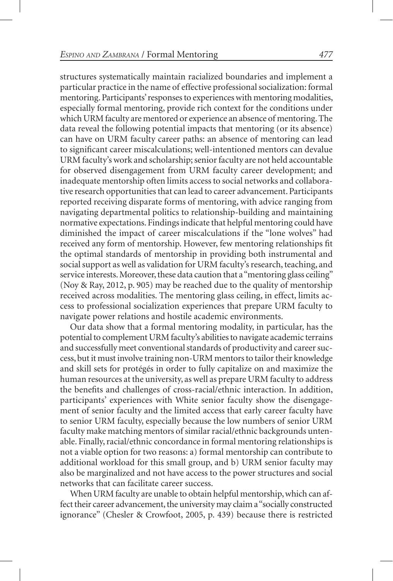structures systematically maintain racialized boundaries and implement a particular practice in the name of effective professional socialization: formal mentoring. Participants' responses to experiences with mentoring modalities, especially formal mentoring, provide rich context for the conditions under which URM faculty are mentored or experience an absence of mentoring. The data reveal the following potential impacts that mentoring (or its absence) can have on URM faculty career paths: an absence of mentoring can lead to significant career miscalculations; well-intentioned mentors can devalue URM faculty's work and scholarship; senior faculty are not held accountable for observed disengagement from URM faculty career development; and inadequate mentorship often limits access to social networks and collaborative research opportunities that can lead to career advancement. Participants reported receiving disparate forms of mentoring, with advice ranging from navigating departmental politics to relationship-building and maintaining normative expectations. Findings indicate that helpful mentoring could have diminished the impact of career miscalculations if the "lone wolves" had received any form of mentorship. However, few mentoring relationships fit the optimal standards of mentorship in providing both instrumental and social support as well as validation for URM faculty's research, teaching, and service interests. Moreover, these data caution that a "mentoring glass ceiling" (Noy & Ray, 2012, p. 905) may be reached due to the quality of mentorship received across modalities. The mentoring glass ceiling, in effect, limits access to professional socialization experiences that prepare URM faculty to navigate power relations and hostile academic environments.

Our data show that a formal mentoring modality, in particular, has the potential to complement URM faculty's abilities to navigate academic terrains and successfully meet conventional standards of productivity and career success, but it must involve training non-URM mentors to tailor their knowledge and skill sets for protégés in order to fully capitalize on and maximize the human resources at the university, as well as prepare URM faculty to address the benefits and challenges of cross-racial/ethnic interaction. In addition, participants' experiences with White senior faculty show the disengagement of senior faculty and the limited access that early career faculty have to senior URM faculty, especially because the low numbers of senior URM faculty make matching mentors of similar racial/ethnic backgrounds untenable. Finally, racial/ethnic concordance in formal mentoring relationships is not a viable option for two reasons: a) formal mentorship can contribute to additional workload for this small group, and b) URM senior faculty may also be marginalized and not have access to the power structures and social networks that can facilitate career success.

When URM faculty are unable to obtain helpful mentorship, which can affect their career advancement, the university may claim a "socially constructed ignorance" (Chesler & Crowfoot, 2005, p. 439) because there is restricted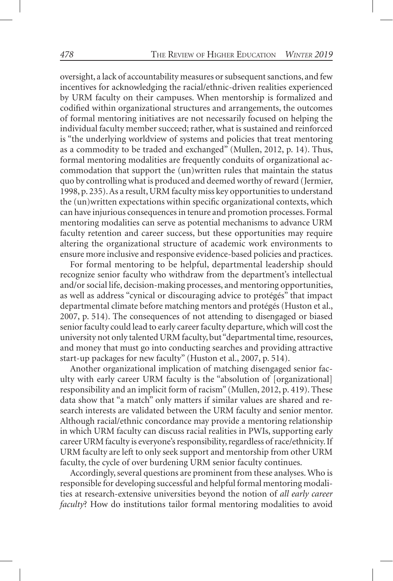oversight, a lack of accountability measures or subsequent sanctions, and few incentives for acknowledging the racial/ethnic-driven realities experienced by URM faculty on their campuses. When mentorship is formalized and codified within organizational structures and arrangements, the outcomes of formal mentoring initiatives are not necessarily focused on helping the individual faculty member succeed; rather, what is sustained and reinforced is "the underlying worldview of systems and policies that treat mentoring as a commodity to be traded and exchanged" (Mullen, 2012, p. 14). Thus, formal mentoring modalities are frequently conduits of organizational accommodation that support the (un)written rules that maintain the status quo by controlling what is produced and deemed worthy of reward (Jermier, 1998, p. 235). As a result, URM faculty miss key opportunities to understand the (un)written expectations within specific organizational contexts, which can have injurious consequences in tenure and promotion processes. Formal mentoring modalities can serve as potential mechanisms to advance URM faculty retention and career success, but these opportunities may require altering the organizational structure of academic work environments to ensure more inclusive and responsive evidence-based policies and practices.

For formal mentoring to be helpful, departmental leadership should recognize senior faculty who withdraw from the department's intellectual and/or social life, decision-making processes, and mentoring opportunities, as well as address "cynical or discouraging advice to protégés" that impact departmental climate before matching mentors and protégés (Huston et al., 2007, p. 514). The consequences of not attending to disengaged or biased senior faculty could lead to early career faculty departure, which will cost the university not only talented URM faculty, but "departmental time, resources, and money that must go into conducting searches and providing attractive start-up packages for new faculty" (Huston et al., 2007, p. 514).

Another organizational implication of matching disengaged senior faculty with early career URM faculty is the "absolution of [organizational] responsibility and an implicit form of racism" (Mullen, 2012, p. 419). These data show that "a match" only matters if similar values are shared and research interests are validated between the URM faculty and senior mentor. Although racial/ethnic concordance may provide a mentoring relationship in which URM faculty can discuss racial realities in PWIs, supporting early career URM faculty is everyone's responsibility, regardless of race/ethnicity. If URM faculty are left to only seek support and mentorship from other URM faculty, the cycle of over burdening URM senior faculty continues.

Accordingly, several questions are prominent from these analyses. Who is responsible for developing successful and helpful formal mentoring modalities at research-extensive universities beyond the notion of *all early career faculty*? How do institutions tailor formal mentoring modalities to avoid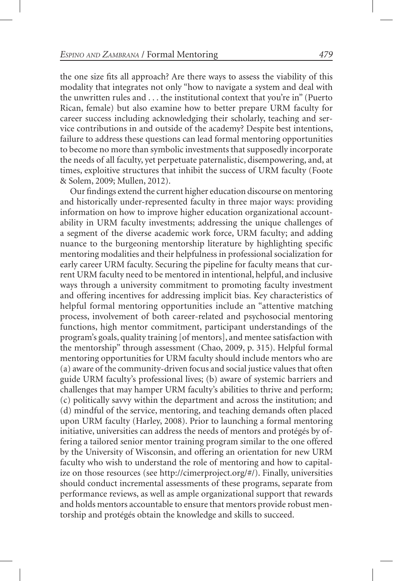the one size fits all approach? Are there ways to assess the viability of this modality that integrates not only "how to navigate a system and deal with the unwritten rules and . . . the institutional context that you're in" (Puerto Rican, female) but also examine how to better prepare URM faculty for career success including acknowledging their scholarly, teaching and service contributions in and outside of the academy? Despite best intentions, failure to address these questions can lead formal mentoring opportunities to become no more than symbolic investments that supposedly incorporate the needs of all faculty, yet perpetuate paternalistic, disempowering, and, at times, exploitive structures that inhibit the success of URM faculty (Foote & Solem, 2009; Mullen, 2012).

Our findings extend the current higher education discourse on mentoring and historically under-represented faculty in three major ways: providing information on how to improve higher education organizational accountability in URM faculty investments; addressing the unique challenges of a segment of the diverse academic work force, URM faculty; and adding nuance to the burgeoning mentorship literature by highlighting specific mentoring modalities and their helpfulness in professional socialization for early career URM faculty. Securing the pipeline for faculty means that current URM faculty need to be mentored in intentional, helpful, and inclusive ways through a university commitment to promoting faculty investment and offering incentives for addressing implicit bias. Key characteristics of helpful formal mentoring opportunities include an "attentive matching process, involvement of both career-related and psychosocial mentoring functions, high mentor commitment, participant understandings of the program's goals, quality training [of mentors], and mentee satisfaction with the mentorship" through assessment (Chao, 2009, p. 315). Helpful formal mentoring opportunities for URM faculty should include mentors who are (a) aware of the community-driven focus and social justice values that often guide URM faculty's professional lives; (b) aware of systemic barriers and challenges that may hamper URM faculty's abilities to thrive and perform; (c) politically savvy within the department and across the institution; and (d) mindful of the service, mentoring, and teaching demands often placed upon URM faculty (Harley, 2008). Prior to launching a formal mentoring initiative, universities can address the needs of mentors and protégés by offering a tailored senior mentor training program similar to the one offered by the University of Wisconsin, and offering an orientation for new URM faculty who wish to understand the role of mentoring and how to capitalize on those resources (see http://cimerproject.org/#/). Finally, universities should conduct incremental assessments of these programs, separate from performance reviews, as well as ample organizational support that rewards and holds mentors accountable to ensure that mentors provide robust mentorship and protégés obtain the knowledge and skills to succeed.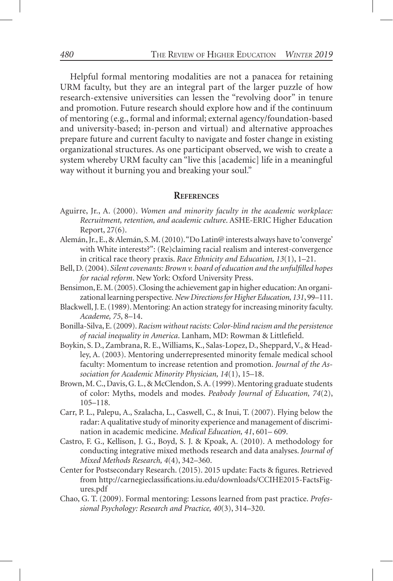Helpful formal mentoring modalities are not a panacea for retaining URM faculty, but they are an integral part of the larger puzzle of how research-extensive universities can lessen the "revolving door" in tenure and promotion. Future research should explore how and if the continuum of mentoring (e.g., formal and informal; external agency/foundation-based and university-based; in-person and virtual) and alternative approaches prepare future and current faculty to navigate and foster change in existing organizational structures. As one participant observed, we wish to create a system whereby URM faculty can "live this [academic] life in a meaningful way without it burning you and breaking your soul."

#### **References**

- Aguirre, Jr., A. (2000). *Women and minority faculty in the academic workplace: Recruitment, retention, and academic culture*. ASHE-ERIC Higher Education Report, 27(6).
- Alemán, Jr., E., & Alemán, S. M. (2010). "Do Latin@ interests always have to 'converge' with White interests?": (Re)claiming racial realism and interest-convergence in critical race theory praxis. *Race Ethnicity and Education, 13*(1), 1–21.
- Bell, D. (2004). *Silent covenants: Brown v. board of education and the unfulfilled hopes for racial reform*. New York: Oxford University Press.
- Bensimon, E. M. (2005). Closing the achievement gap in higher education: An organizational learning perspective*. New Directions for Higher Education, 131*, 99–111.
- Blackwell, J. E. (1989). Mentoring: An action strategy for increasing minority faculty. *Academe, 75*, 8–14.
- Bonilla-Silva, E. (2009). *Racism without racists: Color-blind racism and the persistence of racial inequality in America*. Lanham, MD: Rowman & Littlefield.
- Boykin, S. D., Zambrana, R. E., Williams, K., Salas-Lopez, D., Sheppard, V., & Headley, A. (2003). Mentoring underrepresented minority female medical school faculty: Momentum to increase retention and promotion. *Journal of the Association for Academic Minority Physician, 14*(1), 15–18.
- Brown, M. C., Davis, G. L., & McClendon, S. A. (1999). Mentoring graduate students of color: Myths, models and modes. *Peabody Journal of Education, 74*(2), 105–118.
- Carr, P. L., Palepu, A., Szalacha, L., Caswell, C., & Inui, T. (2007). Flying below the radar: A qualitative study of minority experience and management of discrimination in academic medicine. *Medical Education, 41*, 601– 609.
- Castro, F. G., Kellison, J. G., Boyd, S. J. & Kpoak, A. (2010). A methodology for conducting integrative mixed methods research and data analyses. *Journal of Mixed Methods Research, 4*(4), 342–360.
- Center for Postsecondary Research. (2015). 2015 update: Facts & figures. Retrieved from http://carnegieclassifications.iu.edu/downloads/CCIHE2015-FactsFigures.pdf
- Chao, G. T. (2009). Formal mentoring: Lessons learned from past practice. *Professional Psychology: Research and Practice, 40*(3), 314–320.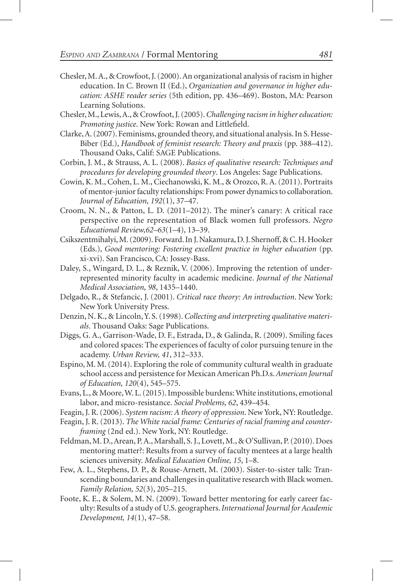- Chesler, M. A., & Crowfoot, J. (2000). An organizational analysis of racism in higher education. In C. Brown II (Ed.), *Organization and governance in higher education: ASHE reader series* (5th edition, pp. 436–469). Boston, MA: Pearson Learning Solutions.
- Chesler, M., Lewis, A., & Crowfoot, J. (2005). *Challenging racism in higher education: Promoting justice*. New York: Rowan and Littlefield.
- Clarke, A. (2007). Feminisms, grounded theory, and situational analysis. In S. Hesse-Biber (Ed.), *Handbook of feminist research: Theory and praxis* (pp. 388–412). Thousand Oaks, Calif: SAGE Publications.
- Corbin, J. M., & Strauss, A. L. (2008). *Basics of qualitative research: Techniques and procedures for developing grounded theory*. Los Angeles: Sage Publications.
- Cowin, K. M., Cohen, L. M., Ciechanowski, K. M., & Orozco, R. A. (2011). Portraits of mentor-junior faculty relationships: From power dynamics to collaboration. *Journal of Education, 192*(1), 37–47.
- Croom, N. N., & Patton, L. D. (2011–2012). The miner's canary: A critical race perspective on the representation of Black women full professors. *Negro Educational Review,62–63*(1–4), 13–39.
- Csikszentmihalyi, M. (2009). Forward. In J. Nakamura, D. J. Shernoff, & C. H. Hooker (Eds.), *Good mentoring: Fostering excellent practice in higher education* (pp. xi-xvi). San Francisco, CA: Jossey-Bass.
- Daley, S., Wingard, D. L., & Reznik, V. (2006). Improving the retention of underrepresented minority faculty in academic medicine. *Journal of the National Medical Association, 98*, 1435–1440.
- Delgado, R., & Stefancic, J. (2001). *Critical race theory: An introduction*. New York: New York University Press.
- Denzin, N. K., & Lincoln, Y. S. (1998). *Collecting and interpreting qualitative materials*. Thousand Oaks: Sage Publications.
- Diggs, G. A., Garrison-Wade, D. F., Estrada, D., & Galinda, R. (2009). Smiling faces and colored spaces: The experiences of faculty of color pursuing tenure in the academy. *Urban Review, 41*, 312–333.
- Espino, M. M. (2014). Exploring the role of community cultural wealth in graduate school access and persistence for Mexican American Ph.D.s. *American Journal of Education, 120*(4), 545–575.
- Evans, L., & Moore, W. L. (2015). Impossible burdens: White institutions, emotional labor, and micro-resistance. *Social Problems, 62*, 439–454.
- Feagin, J. R. (2006). *System racism: A theory of oppression*. New York, NY: Routledge.
- Feagin, J. R. (2013). *The White racial frame: Centuries of racial framing and counterframing* (2nd ed.). New York, NY: Routledge.
- Feldman, M. D., Arean, P. A., Marshall, S. J., Lovett, M., & O'Sullivan, P. (2010). Does mentoring matter?: Results from a survey of faculty mentees at a large health sciences university. *Medical Education Online, 15*, 1–8.
- Few, A. L., Stephens, D. P., & Rouse-Arnett, M. (2003). Sister-to-sister talk: Transcending boundaries and challenges in qualitative research with Black women. *Family Relation, 52*(3), 205–215.
- Foote, K. E., & Solem, M. N. (2009). Toward better mentoring for early career faculty: Results of a study of U.S. geographers. *International Journal for Academic Development, 14*(1), 47–58.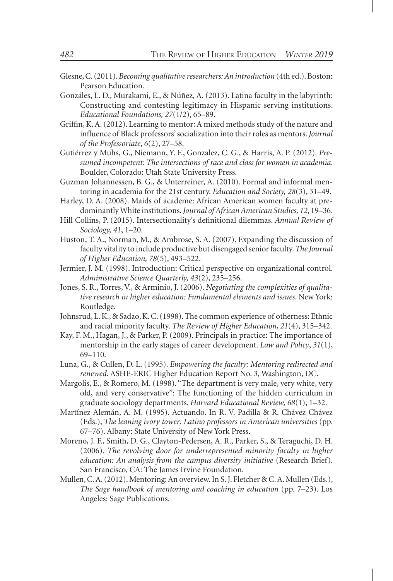- Glesne, C. (2011). *Becoming qualitative researchers: An introduction* (4th ed.). Boston: Pearson Education.
- Gonzáles, L. D., Murakami, E., & Núñez, A. (2013). Latina faculty in the labyrinth: Constructing and contesting legitimacy in Hispanic serving institutions. *Educational Foundations, 27*(1/2), 65–89.
- Griffin, K. A. (2012). Learning to mentor: A mixed methods study of the nature and influence of Black professors' socialization into their roles as mentors. *Journal of the Professoriate*, *6*(2), 27–58.
- Gutiérrez y Muhs, G., Niemann, Y. F., Gonzalez, C. G., & Harris, A. P. (2012). *Presumed incompetent: The intersections of race and class for women in academia*. Boulder, Colorado: Utah State University Press.
- Guzman Johannessen, B. G., & Unterreiner, A. (2010). Formal and informal mentoring in academia for the 21st century. *Education and Society, 28*(3), 31–49.
- Harley, D. A. (2008). Maids of academe: African American women faculty at predominantly White institutions. *Journal of African American Studies, 12*, 19–36.
- Hill Collins, P. (2015). Intersectionality's definitional dilemmas. *Annual Review of Sociology, 41*, 1–20.
- Huston, T. A., Norman, M., & Ambrose, S. A. (2007). Expanding the discussion of faculty vitality to include productive but disengaged senior faculty. *The Journal of Higher Education, 78*(5), 493–522.
- Jermier, J. M. (1998). Introduction: Critical perspective on organizational control. *Administrative Science Quarterly, 43*(2), 235–256.
- Jones, S. R., Torres, V., & Arminio, J. (2006). *Negotiating the complexities of qualitative research in higher education: Fundamental elements and issues*. New York: Routledge.
- Johnsrud, L. K., & Sadao, K. C. (1998). The common experience of otherness: Ethnic and racial minority faculty. *The Review of Higher Education*, *21*(4), 315–342.
- Kay, F. M., Hagan, J., & Parker, P. (2009). Principals in practice: The importance of mentorship in the early stages of career development. *Law and Policy*, *31*(1), 69–110.
- Luna, G., & Cullen, D. L. (1995). *Empowering the faculty: Mentoring redirected and renewed*. ASHE-ERIC Higher Education Report No. 3, Washington, DC.
- Margolis, E., & Romero, M. (1998). "The department is very male, very white, very old, and very conservative": The functioning of the hidden curriculum in graduate sociology departments. *Harvard Educational Review, 68*(1), 1–32.
- Martínez Alemán, A. M. (1995). Actuando. In R. V. Padilla & R. Chávez Chávez (Eds.), *The leaning ivory tower: Latino professors in American universities* (pp. 67–76). Albany: State University of New York Press.
- Moreno, J. F., Smith, D. G., Clayton-Pedersen, A. R., Parker, S., & Teraguchi, D. H. (2006). *The revolving door for underrepresented minority faculty in higher education: An analysis from the campus diversity initiative* (Research Brief). San Francisco, CA: The James Irvine Foundation.
- Mullen, C. A. (2012). Mentoring: An overview. In S. J. Fletcher & C. A. Mullen (Eds.), *The Sage handbook of mentoring and coaching in education* (pp. 7–23). Los Angeles: Sage Publications.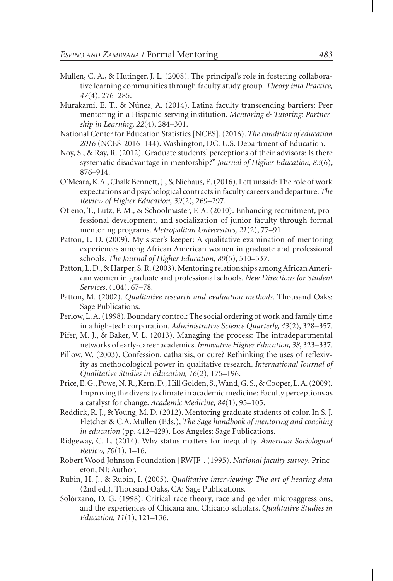- Mullen, C. A., & Hutinger, J. L. (2008). The principal's role in fostering collaborative learning communities through faculty study group. *Theory into Practice, 47*(4), 276–285.
- Murakami, E. T., & Núñez, A. (2014). Latina faculty transcending barriers: Peer mentoring in a Hispanic-serving institution. *Mentoring & Tutoring: Partnership in Learning, 22*(4), 284–301.
- National Center for Education Statistics [NCES]. (2016). *The condition of education 2016* (NCES-2016–144). Washington, DC: U.S. Department of Education.
- Noy, S., & Ray, R. (2012). Graduate students' perceptions of their advisors: Is there systematic disadvantage in mentorship?" *Journal of Higher Education, 83*(6), 876–914.
- O'Meara, K.A., Chalk Bennett, J., & Niehaus, E. (2016). Left unsaid: The role of work expectations and psychological contracts in faculty careers and departure. *The Review of Higher Education, 39*(2), 269–297.
- Otieno, T., Lutz, P. M., & Schoolmaster, F. A. (2010). Enhancing recruitment, professional development, and socialization of junior faculty through formal mentoring programs. *Metropolitan Universities, 21*(2), 77–91.
- Patton, L. D. (2009). My sister's keeper: A qualitative examination of mentoring experiences among African American women in graduate and professional schools. *The Journal of Higher Education, 80*(5), 510–537.
- Patton, L. D., & Harper, S. R. (2003). Mentoring relationships among African American women in graduate and professional schools. *New Directions for Student Services*, (104), 67–78.
- Patton, M. (2002). *Qualitative research and evaluation methods*. Thousand Oaks: Sage Publications.
- Perlow, L. A. (1998). Boundary control: The social ordering of work and family time in a high-tech corporation. *Administrative Science Quarterly, 43*(2), 328–357.
- Pifer, M. J., & Baker, V. L. (2013). Managing the process: The intradepartmental networks of early-career academics. *Innovative Higher Education, 38*, 323–337.
- Pillow, W. (2003). Confession, catharsis, or cure? Rethinking the uses of reflexivity as methodological power in qualitative research. *International Journal of Qualitative Studies in Education, 16*(2), 175–196.
- Price, E. G., Powe, N. R., Kern, D., Hill Golden, S., Wand, G. S., & Cooper, L. A. (2009). Improving the diversity climate in academic medicine: Faculty perceptions as a catalyst for change. *Academic Medicine, 84*(1), 95–105.
- Reddick, R. J., & Young, M. D. (2012). Mentoring graduate students of color. In S. J. Fletcher & C.A. Mullen (Eds.), *The Sage handbook of mentoring and coaching in education* (pp. 412–429). Los Angeles: Sage Publications.
- Ridgeway, C. L. (2014). Why status matters for inequality. *American Sociological Review, 70*(1), 1–16.
- Robert Wood Johnson Foundation [RWJF]. (1995). *National faculty survey*. Princeton, NJ: Author.
- Rubin, H. J., & Rubin, I. (2005). *Qualitative interviewing: The art of hearing data* (2nd ed.). Thousand Oaks, CA: Sage Publications.
- Solórzano, D. G. (1998). Critical race theory, race and gender microaggressions, and the experiences of Chicana and Chicano scholars. *Qualitative Studies in Education, 11*(1), 121–136.